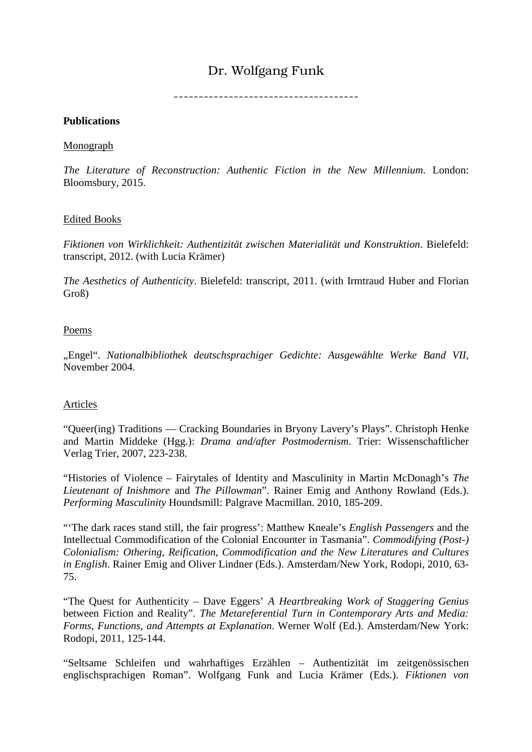# Dr. Wolfgang Funk

 $-$ 

### **Publications**

### Monograph

*The Literature of Reconstruction: Authentic Fiction in the New Millennium*. London: Bloomsbury, 2015.

## Edited Books

*Fiktionen von Wirklichkeit: Authentizität zwischen Materialität und Konstruktion*. Bielefeld: transcript, 2012. (with Lucia Krämer)

*The Aesthetics of Authenticity*. Bielefeld: transcript, 2011. (with Irmtraud Huber and Florian Groß)

## Poems

"Engel". *Nationalbibliothek deutschsprachiger Gedichte: Ausgewählte Werke Band VII*, November 2004.

## Articles

"Queer(ing) Traditions — Cracking Boundaries in Bryony Lavery's Plays". Christoph Henke and Martin Middeke (Hgg.): *Drama and/after Postmodernism*. Trier: Wissenschaftlicher Verlag Trier, 2007, 223-238.

"Histories of Violence – Fairytales of Identity and Masculinity in Martin McDonagh's *The Lieutenant of Inishmore* and *The Pillowman*". Rainer Emig and Anthony Rowland (Eds.). *Performing Masculinity* Houndsmill: Palgrave Macmillan. 2010, 185-209.

"'The dark races stand still, the fair progress': Matthew Kneale's *English Passengers* and the Intellectual Commodification of the Colonial Encounter in Tasmania". *Commodifying (Post-) Colonialism: Othering, Reification, Commodification and the New Literatures and Cultures in English*. Rainer Emig and Oliver Lindner (Eds.). Amsterdam/New York, Rodopi, 2010, 63- 75.

"The Quest for Authenticity – Dave Eggers' *A Heartbreaking Work of Staggering Genius*  between Fiction and Reality". *The Metareferential Turn in Contemporary Arts and Media: Forms, Functions, and Attempts at Explanation*. Werner Wolf (Ed.). Amsterdam/New York: Rodopi, 2011, 125-144.

"Seltsame Schleifen und wahrhaftiges Erzählen – Authentizität im zeitgenössischen englischsprachigen Roman". Wolfgang Funk and Lucia Krämer (Eds.). *Fiktionen von*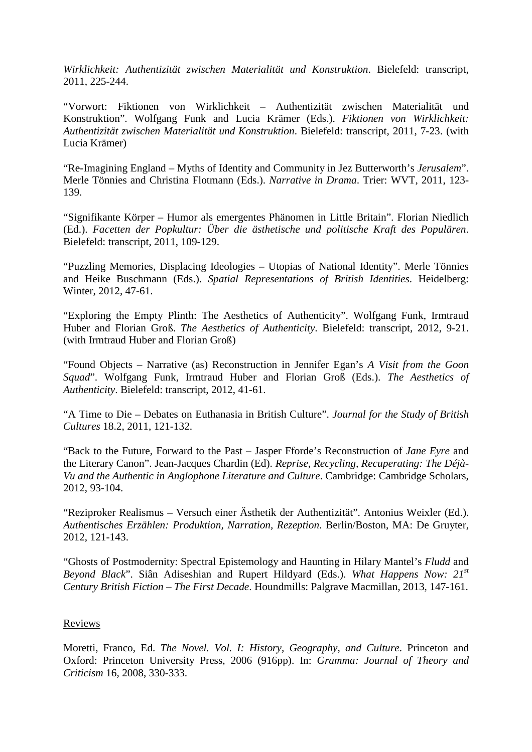*Wirklichkeit: Authentizität zwischen Materialität und Konstruktion*. Bielefeld: transcript, 2011, 225-244.

"Vorwort: Fiktionen von Wirklichkeit – Authentizität zwischen Materialität und Konstruktion". Wolfgang Funk and Lucia Krämer (Eds.). *Fiktionen von Wirklichkeit: Authentizität zwischen Materialität und Konstruktion*. Bielefeld: transcript, 2011, 7-23. (with Lucia Krämer)

"Re-Imagining England – Myths of Identity and Community in Jez Butterworth's *Jerusalem*". Merle Tönnies and Christina Flotmann (Eds.). *Narrative in Drama*. Trier: WVT, 2011, 123- 139.

"Signifikante Körper – Humor als emergentes Phänomen in Little Britain". Florian Niedlich (Ed.). *Facetten der Popkultur: Über die ästhetische und politische Kraft des Populären*. Bielefeld: transcript, 2011, 109-129.

"Puzzling Memories, Displacing Ideologies – Utopias of National Identity". Merle Tönnies and Heike Buschmann (Eds.). *Spatial Representations of British Identities*. Heidelberg: Winter, 2012, 47-61.

"Exploring the Empty Plinth: The Aesthetics of Authenticity". Wolfgang Funk, Irmtraud Huber and Florian Groß. *The Aesthetics of Authenticity*. Bielefeld: transcript, 2012, 9-21. (with Irmtraud Huber and Florian Groß)

"Found Objects – Narrative (as) Reconstruction in Jennifer Egan's *A Visit from the Goon Squad*". Wolfgang Funk, Irmtraud Huber and Florian Groß (Eds.). *The Aesthetics of Authenticity*. Bielefeld: transcript, 2012, 41-61.

"A Time to Die – Debates on Euthanasia in British Culture". *Journal for the Study of British Cultures* 18.2, 2011, 121-132.

"Back to the Future, Forward to the Past – Jasper Fforde's Reconstruction of *Jane Eyre* and the Literary Canon". Jean-Jacques Chardin (Ed). *Reprise, Recycling, Recuperating: The Déjà-Vu and the Authentic in Anglophone Literature and Culture*. Cambridge: Cambridge Scholars, 2012, 93-104.

"Reziproker Realismus – Versuch einer Ästhetik der Authentizität". Antonius Weixler (Ed.). *Authentisches Erzählen: Produktion, Narration, Rezeption*. Berlin/Boston, MA: De Gruyter, 2012, 121-143.

"Ghosts of Postmodernity: Spectral Epistemology and Haunting in Hilary Mantel's *Fludd* and *Beyond Black*". Siân Adiseshian and Rupert Hildyard (Eds.). *What Happens Now: 21st Century British Fiction – The First Decade*. Houndmills: Palgrave Macmillan, 2013, 147-161.

### Reviews

Moretti, Franco, Ed. *The Novel. Vol. I: History, Geography, and Culture*. Princeton and Oxford: Princeton University Press, 2006 (916pp). In: *Gramma: Journal of Theory and Criticism* 16, 2008, 330-333.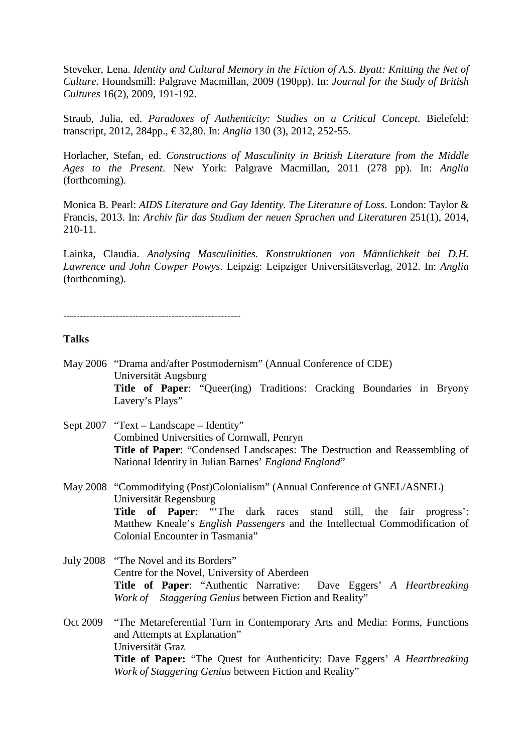Steveker, Lena. *Identity and Cultural Memory in the Fiction of A.S. Byatt: Knitting the Net of Culture*. Houndsmill: Palgrave Macmillan, 2009 (190pp). In: *Journal for the Study of British Cultures* 16(2), 2009, 191-192.

Straub, Julia, ed. *Paradoxes of Authenticity: Studies on a Critical Concept*. Bielefeld: transcript, 2012, 284pp., € 32,80. In: *Anglia* 130 (3), 2012, 252-55.

Horlacher, Stefan, ed. *Constructions of Masculinity in British Literature from the Middle Ages to the Present*. New York: Palgrave Macmillan, 2011 (278 pp). In: *Anglia*  (forthcoming).

Monica B. Pearl: *AIDS Literature and Gay Identity. The Literature of Loss*. London: Taylor & Francis, 2013. In: *Archiv für das Studium der neuen Sprachen und Literaturen* 251(1), 2014, 210-11.

Lainka, Claudia. *Analysing Masculinities. Konstruktionen von Männlichkeit bei D.H. Lawrence und John Cowper Powys*. Leipzig: Leipziger Universitätsverlag, 2012. In: *Anglia* (forthcoming).

------------------------------------------------------

#### **Talks**

- May 2006 "Drama and/after Postmodernism" (Annual Conference of CDE) Universität Augsburg **Title of Paper**: "Queer(ing) Traditions: Cracking Boundaries in Bryony Lavery's Plays"
- Sept 2007 "Text Landscape Identity" Combined Universities of Cornwall, Penryn **Title of Paper**: "Condensed Landscapes: The Destruction and Reassembling of National Identity in Julian Barnes' *England England*"

May 2008 "Commodifying (Post)Colonialism" (Annual Conference of GNEL/ASNEL) Universität Regensburg **Title of Paper**: "'The dark races stand still, the fair progress': Matthew Kneale's *English Passengers* and the Intellectual Commodification of Colonial Encounter in Tasmania"

- July 2008 "The Novel and its Borders" Centre for the Novel, University of Aberdeen **Title of Paper**: "Authentic Narrative: Dave Eggers' *A Heartbreaking Work of Staggering Genius* between Fiction and Reality"
- Oct 2009 "The Metareferential Turn in Contemporary Arts and Media: Forms, Functions and Attempts at Explanation" Universität Graz **Title of Paper:** "The Quest for Authenticity: Dave Eggers' *A Heartbreaking Work of Staggering Genius* between Fiction and Reality"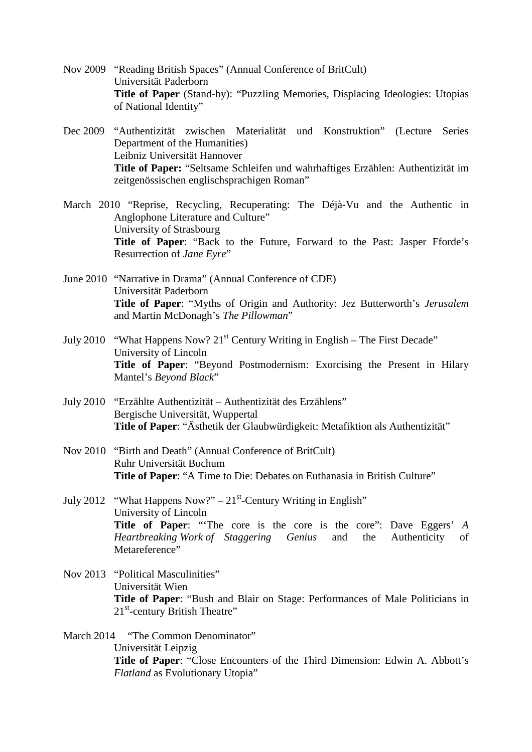- Nov 2009 "Reading British Spaces" (Annual Conference of BritCult) Universität Paderborn **Title of Paper** (Stand-by): "Puzzling Memories, Displacing Ideologies: Utopias of National Identity"
- Dec 2009 "Authentizität zwischen Materialität und Konstruktion" (Lecture Series Department of the Humanities) Leibniz Universität Hannover **Title of Paper:** "Seltsame Schleifen und wahrhaftiges Erzählen: Authentizität im zeitgenössischen englischsprachigen Roman"
- March 2010 "Reprise, Recycling, Recuperating: The Déjà-Vu and the Authentic in Anglophone Literature and Culture" University of Strasbourg **Title of Paper**: "Back to the Future, Forward to the Past: Jasper Fforde's Resurrection of *Jane Eyre*"
- June 2010 "Narrative in Drama" (Annual Conference of CDE) Universität Paderborn **Title of Paper**: "Myths of Origin and Authority: Jez Butterworth's *Jerusalem* and Martin McDonagh's *The Pillowman*"
- July 2010 "What Happens Now?  $21^{st}$  Century Writing in English The First Decade" University of Lincoln **Title of Paper**: "Beyond Postmodernism: Exorcising the Present in Hilary Mantel's *Beyond Black*"
- July 2010 "Erzählte Authentizität Authentizität des Erzählens" Bergische Universität, Wuppertal **Title of Paper**: "Ästhetik der Glaubwürdigkeit: Metafiktion als Authentizität"
- Nov 2010 "Birth and Death" (Annual Conference of BritCult) Ruhr Universität Bochum **Title of Paper**: "A Time to Die: Debates on Euthanasia in British Culture"
- July 2012 "What Happens Now?"  $21^{st}$ -Century Writing in English" University of Lincoln **Title of Paper**: "'The core is the core is the core": Dave Eggers' *A Heartbreaking Work of Staggering Genius* and the Authenticity of Metareference"
- Nov 2013 "Political Masculinities" Universität Wien **Title of Paper**: "Bush and Blair on Stage: Performances of Male Politicians in 21<sup>st</sup>-century British Theatre"
- March 2014 "The Common Denominator" Universität Leipzig **Title of Paper**: "Close Encounters of the Third Dimension: Edwin A. Abbott's *Flatland* as Evolutionary Utopia"